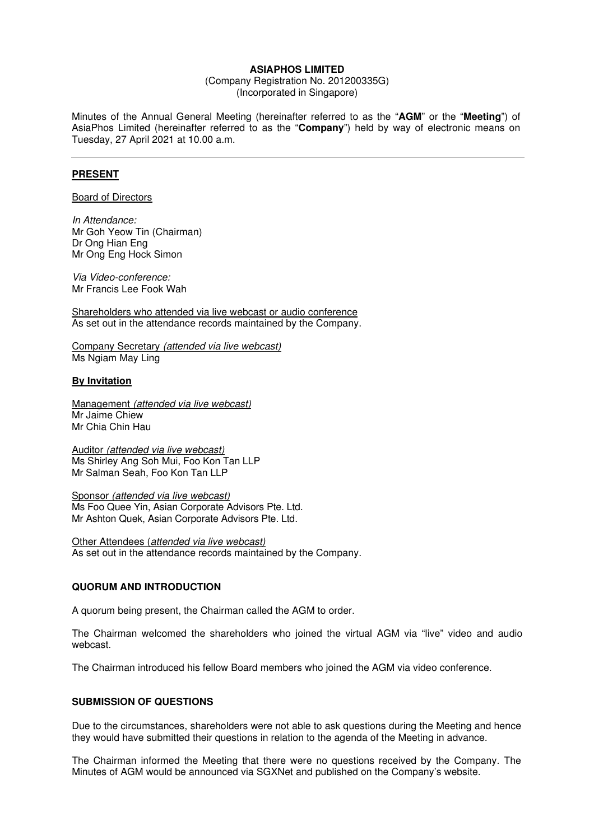#### **ASIAPHOS LIMITED**

(Company Registration No. 201200335G) (Incorporated in Singapore)

Minutes of the Annual General Meeting (hereinafter referred to as the "**AGM**" or the "**Meeting**") of AsiaPhos Limited (hereinafter referred to as the "**Company**") held by way of electronic means on Tuesday, 27 April 2021 at 10.00 a.m.

# **PRESENT**

Board of Directors

In Attendance: Mr Goh Yeow Tin (Chairman) Dr Ong Hian Eng Mr Ong Eng Hock Simon

Via Video-conference: Mr Francis Lee Fook Wah

Shareholders who attended via live webcast or audio conference As set out in the attendance records maintained by the Company.

Company Secretary (attended via live webcast) Ms Ngiam May Ling

#### **By Invitation**

Management (attended via live webcast) Mr Jaime Chiew Mr Chia Chin Hau

Auditor (attended via live webcast) Ms Shirley Ang Soh Mui, Foo Kon Tan LLP Mr Salman Seah, Foo Kon Tan LLP

Sponsor (attended via live webcast) Ms Foo Quee Yin, Asian Corporate Advisors Pte. Ltd. Mr Ashton Quek, Asian Corporate Advisors Pte. Ltd.

Other Attendees (attended via live webcast) As set out in the attendance records maintained by the Company.

#### **QUORUM AND INTRODUCTION**

A quorum being present, the Chairman called the AGM to order.

The Chairman welcomed the shareholders who joined the virtual AGM via "live" video and audio webcast.

The Chairman introduced his fellow Board members who joined the AGM via video conference.

#### **SUBMISSION OF QUESTIONS**

Due to the circumstances, shareholders were not able to ask questions during the Meeting and hence they would have submitted their questions in relation to the agenda of the Meeting in advance.

The Chairman informed the Meeting that there were no questions received by the Company. The Minutes of AGM would be announced via SGXNet and published on the Company's website.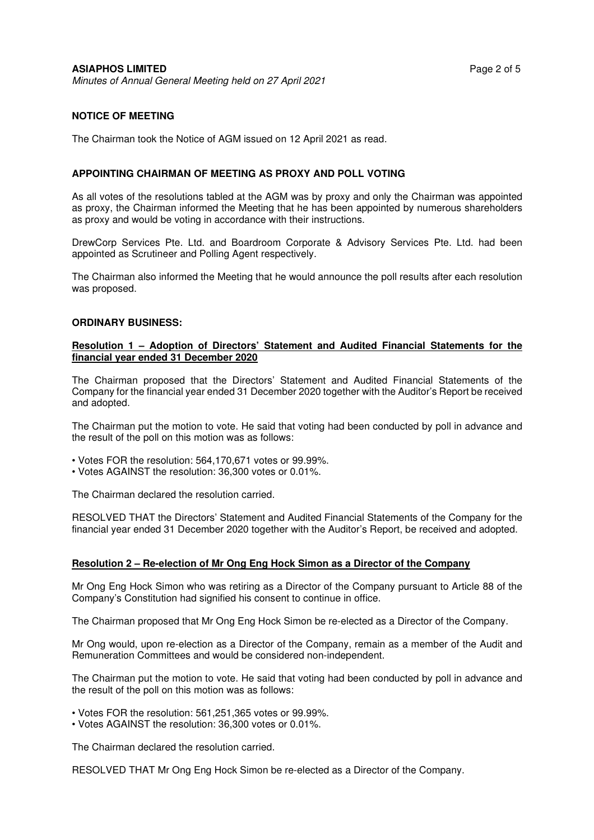## **NOTICE OF MEETING**

The Chairman took the Notice of AGM issued on 12 April 2021 as read.

#### **APPOINTING CHAIRMAN OF MEETING AS PROXY AND POLL VOTING**

As all votes of the resolutions tabled at the AGM was by proxy and only the Chairman was appointed as proxy, the Chairman informed the Meeting that he has been appointed by numerous shareholders as proxy and would be voting in accordance with their instructions.

DrewCorp Services Pte. Ltd. and Boardroom Corporate & Advisory Services Pte. Ltd. had been appointed as Scrutineer and Polling Agent respectively.

The Chairman also informed the Meeting that he would announce the poll results after each resolution was proposed.

#### **ORDINARY BUSINESS:**

### **Resolution 1 – Adoption of Directors' Statement and Audited Financial Statements for the financial year ended 31 December 2020**

The Chairman proposed that the Directors' Statement and Audited Financial Statements of the Company for the financial year ended 31 December 2020 together with the Auditor's Report be received and adopted.

The Chairman put the motion to vote. He said that voting had been conducted by poll in advance and the result of the poll on this motion was as follows:

- Votes FOR the resolution: 564,170,671 votes or 99.99%.
- Votes AGAINST the resolution: 36,300 votes or 0.01%.

The Chairman declared the resolution carried.

RESOLVED THAT the Directors' Statement and Audited Financial Statements of the Company for the financial year ended 31 December 2020 together with the Auditor's Report, be received and adopted.

#### **Resolution 2 – Re-election of Mr Ong Eng Hock Simon as a Director of the Company**

Mr Ong Eng Hock Simon who was retiring as a Director of the Company pursuant to Article 88 of the Company's Constitution had signified his consent to continue in office.

The Chairman proposed that Mr Ong Eng Hock Simon be re-elected as a Director of the Company.

Mr Ong would, upon re-election as a Director of the Company, remain as a member of the Audit and Remuneration Committees and would be considered non-independent.

The Chairman put the motion to vote. He said that voting had been conducted by poll in advance and the result of the poll on this motion was as follows:

• Votes FOR the resolution: 561,251,365 votes or 99.99%.

• Votes AGAINST the resolution: 36,300 votes or 0.01%.

The Chairman declared the resolution carried.

RESOLVED THAT Mr Ong Eng Hock Simon be re-elected as a Director of the Company.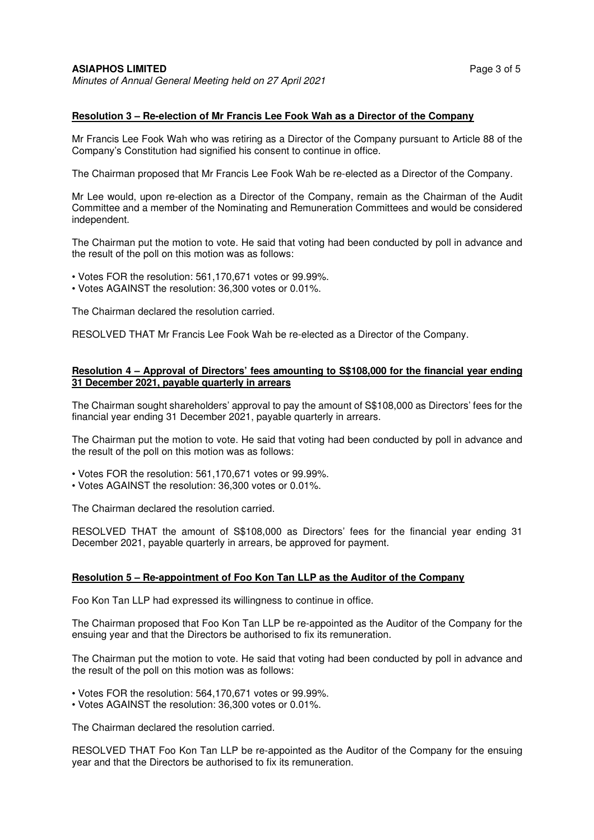### **Resolution 3 – Re-election of Mr Francis Lee Fook Wah as a Director of the Company**

Mr Francis Lee Fook Wah who was retiring as a Director of the Company pursuant to Article 88 of the Company's Constitution had signified his consent to continue in office.

The Chairman proposed that Mr Francis Lee Fook Wah be re-elected as a Director of the Company.

Mr Lee would, upon re-election as a Director of the Company, remain as the Chairman of the Audit Committee and a member of the Nominating and Remuneration Committees and would be considered independent.

The Chairman put the motion to vote. He said that voting had been conducted by poll in advance and the result of the poll on this motion was as follows:

- Votes FOR the resolution: 561,170,671 votes or 99.99%.
- Votes AGAINST the resolution: 36,300 votes or 0.01%.

The Chairman declared the resolution carried.

RESOLVED THAT Mr Francis Lee Fook Wah be re-elected as a Director of the Company.

#### **Resolution 4 – Approval of Directors' fees amounting to S\$108,000 for the financial year ending 31 December 2021, payable quarterly in arrears**

The Chairman sought shareholders' approval to pay the amount of S\$108,000 as Directors' fees for the financial year ending 31 December 2021, payable quarterly in arrears.

The Chairman put the motion to vote. He said that voting had been conducted by poll in advance and the result of the poll on this motion was as follows:

- Votes FOR the resolution: 561,170,671 votes or 99.99%.
- Votes AGAINST the resolution: 36,300 votes or 0.01%.

The Chairman declared the resolution carried.

RESOLVED THAT the amount of S\$108,000 as Directors' fees for the financial year ending 31 December 2021, payable quarterly in arrears, be approved for payment.

#### **Resolution 5 – Re-appointment of Foo Kon Tan LLP as the Auditor of the Company**

Foo Kon Tan LLP had expressed its willingness to continue in office.

The Chairman proposed that Foo Kon Tan LLP be re-appointed as the Auditor of the Company for the ensuing year and that the Directors be authorised to fix its remuneration.

The Chairman put the motion to vote. He said that voting had been conducted by poll in advance and the result of the poll on this motion was as follows:

• Votes FOR the resolution: 564,170,671 votes or 99.99%.

• Votes AGAINST the resolution: 36,300 votes or 0.01%.

The Chairman declared the resolution carried.

RESOLVED THAT Foo Kon Tan LLP be re-appointed as the Auditor of the Company for the ensuing year and that the Directors be authorised to fix its remuneration.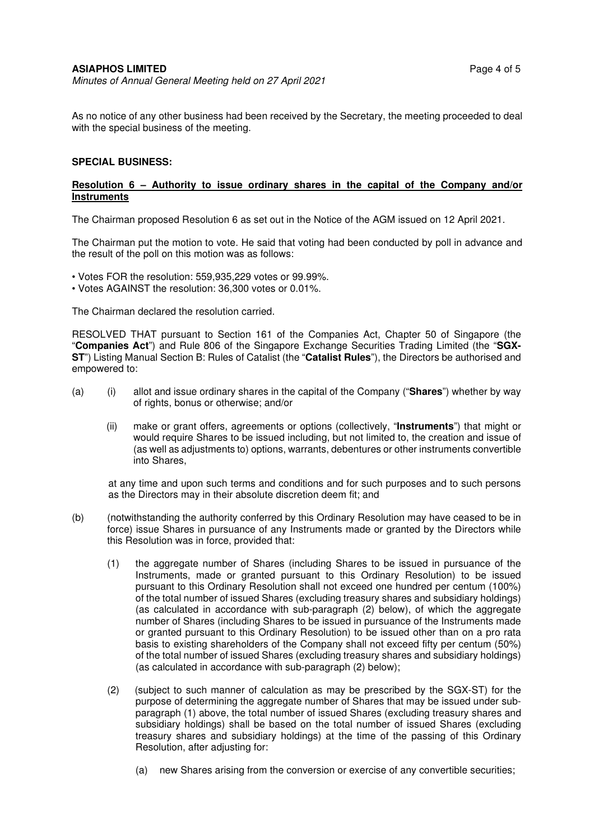As no notice of any other business had been received by the Secretary, the meeting proceeded to deal with the special business of the meeting.

## **SPECIAL BUSINESS:**

### **Resolution 6 – Authority to issue ordinary shares in the capital of the Company and/or Instruments**

The Chairman proposed Resolution 6 as set out in the Notice of the AGM issued on 12 April 2021.

The Chairman put the motion to vote. He said that voting had been conducted by poll in advance and the result of the poll on this motion was as follows:

- Votes FOR the resolution: 559,935,229 votes or 99.99%.
- Votes AGAINST the resolution: 36,300 votes or 0.01%.

The Chairman declared the resolution carried.

RESOLVED THAT pursuant to Section 161 of the Companies Act, Chapter 50 of Singapore (the "**Companies Act**") and Rule 806 of the Singapore Exchange Securities Trading Limited (the "**SGX-ST**") Listing Manual Section B: Rules of Catalist (the "**Catalist Rules**"), the Directors be authorised and empowered to:

- (a) (i) allot and issue ordinary shares in the capital of the Company ("**Shares**") whether by way of rights, bonus or otherwise; and/or
	- (ii) make or grant offers, agreements or options (collectively, "**Instruments**") that might or would require Shares to be issued including, but not limited to, the creation and issue of (as well as adjustments to) options, warrants, debentures or other instruments convertible into Shares,

at any time and upon such terms and conditions and for such purposes and to such persons as the Directors may in their absolute discretion deem fit; and

- (b) (notwithstanding the authority conferred by this Ordinary Resolution may have ceased to be in force) issue Shares in pursuance of any Instruments made or granted by the Directors while this Resolution was in force, provided that:
	- (1) the aggregate number of Shares (including Shares to be issued in pursuance of the Instruments, made or granted pursuant to this Ordinary Resolution) to be issued pursuant to this Ordinary Resolution shall not exceed one hundred per centum (100%) of the total number of issued Shares (excluding treasury shares and subsidiary holdings) (as calculated in accordance with sub-paragraph (2) below), of which the aggregate number of Shares (including Shares to be issued in pursuance of the Instruments made or granted pursuant to this Ordinary Resolution) to be issued other than on a pro rata basis to existing shareholders of the Company shall not exceed fifty per centum (50%) of the total number of issued Shares (excluding treasury shares and subsidiary holdings) (as calculated in accordance with sub-paragraph (2) below);
	- (2) (subject to such manner of calculation as may be prescribed by the SGX-ST) for the purpose of determining the aggregate number of Shares that may be issued under subparagraph (1) above, the total number of issued Shares (excluding treasury shares and subsidiary holdings) shall be based on the total number of issued Shares (excluding treasury shares and subsidiary holdings) at the time of the passing of this Ordinary Resolution, after adjusting for:
		- (a) new Shares arising from the conversion or exercise of any convertible securities;